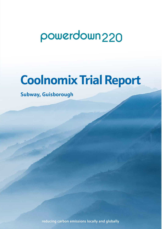## powerdown<sub>220</sub>

# **Coolnomix Trial Report**

**Subway, Guisborough**

reducing carbon emissions locally and globally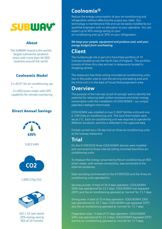

#### About

The SUBWAY brand is the world's largest submarine sandwich chain with more than 44,000 locations around the world.

#### Coolnomix Model

3 x AC-01 for air-conditioning use + 3 x MID smart meter with GPS capability for remote monitoring

#### Direct Annual Savings



3,822 kWh



1,089.27kg CO2



£611.52 (per store) 20% energy saving ROI of 24 months

## **Coolnomix®**

Reduce the energy consumption of your air-conditioning and refrigeration without affecting the output you need. Our technology is maintenance free and can be easily installed by our qualified engineers with no disruption to your operation. You can expect up to 40% energy saving on your air-conditioning and up to 30% on your refrigeration.

*We keep your people, equipment and produce cool, and your energy budget from overheating*

## **Client**

The Guisborough site is part of a franchisee portfolio of 10 Subways located across the North East of England. The portfolio consists of drive-thru sites and eat in restaurants located in shopping centres.

The restaurant has three ceiling mounted air-conditioning units; two in the public area to cool the serving and seating area and the third unit is in the back of house food preparation area.

### **Overview**

The purpose of the trial was 'proof of concept' and to identify the potential for reducing both carbon emissions and direct energy consumption with the installation of COOLNOMIX - our unique patented intelligent thermostat.

COOLNOMIX was installed on two 5.3kW Toshiba units and one 6.1kW Gree air-conditioning unit. The local thermostats were set at 21C. Each air-conditioning unit was required to operate for different durations, and this is reflected in the captured data.

Emissis carried out a 56-day trial on three air-conditioning units at the Subway restaurant.

## **Trial**

On the 01/09/2020 three COOLNOMIX devices were installed and connected to three internal ceiling mounted downflow airconditioning units.

To measure the energy consumed by the air-conditioning an MID smart meter, with remote connectivity, was connected to the external condenser.

Data recording commenced on the 01/09/2020 and the three airconditioning units operated for:

Serving counter: A total of 36.9 days operation. COOLNOMIX (ON) was operational for 23.2 days. COOLNOMIX was bypassed (OFF) and the air-conditioning operated as 'normal' for 13.7 days.

Dining area: A total of 33.4 days operation. COOLNOMIX (ON) was operational for 20.7 days. COOLNOMIX was bypassed (OFF) and the air-conditioning operated as 'normal' for 12.7 days.

Preparation area: A total of 37 days operation. COOLNOMIX (ON) was operational for 23.3 days. COOLNOMIX bypassed (OFF) and the air-conditioning operated as 'normal' for 13.7 days.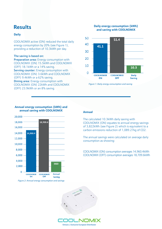## **Results**

#### **Daily**

COOLNOMIX active (ON) reduced the total daily energy consumption by 20% (see Figure 1), providing a reduction of 10.3kWh per day.

#### The saving is based on:

Preparation area: Energy consumption with COOLNOMIX (ON) 15.5kWh and COOLNOMIX (OFF) 18.1kWh or a 14% saving.

Serving counter: Energy consumption with COOLNOMIX (ON) 3.6kWh and COOLNOMIX (OFF) 9.4kWh or a 62% saving.

Dining area: Energy consumption with COOLNOMIX (ON) 22kWh and COOLNOMIX (OFF) 23.9kWh or an 8% saving.

#### **Daily energy consumption (kWh) and saving with COOLNOMIX**



*Figure 1: Daily energy consumption and saving*



#### **Annual energy consumption (kWh) and annual saving with COOLNOMIX**

*Figure 2: Annual energy consumption and savings*

#### **Annual**

The calculated 10.3kWh daily saving with COOLNOMIX (ON) equates to annual energy savings of 3,822kWh (see Figure 2) which is equivalent to a carbon emissions reduction of 1,089.27kg of CO2.

The annual savings were calculated on average daily consumption as showing:

COOLNOMIX (ON) consumption averages 14,960.4kWh COOLNOMIX (OFF) consumption averages 18,709.6kWh

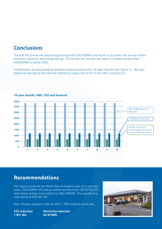## **Conclusions**

The trial test proves the daily energy savings with COOLNOMIX and allows us to predict the annual carbon emissions reduction and energy savings. During warmer months, we expect increased savings when COOLNOMIX is active (ON).

Furthermore, we can provide an evidence-based projection for 10 years' benefit (see Figure 3). We have based cost savings on the trial site's electricity supply cost of £0.16 per kWh including CCL.



#### **10-year benefit: kWh, CO2 and financial**

### **Recommendations**

Full rollout across the ten North East of England sites, on a pro rata basis, COOLNOMIX will reduce carbon emissions by 108,927kg CO2 and reduce energy consumption by 382,200kWh. This equates to a cash saving of £69,461.60.

Over 10 years Subway in the UK with 1,700 locations could save:

**1,851.8tn 64.97GWh**

**CO2 reduction Electricity reduction**